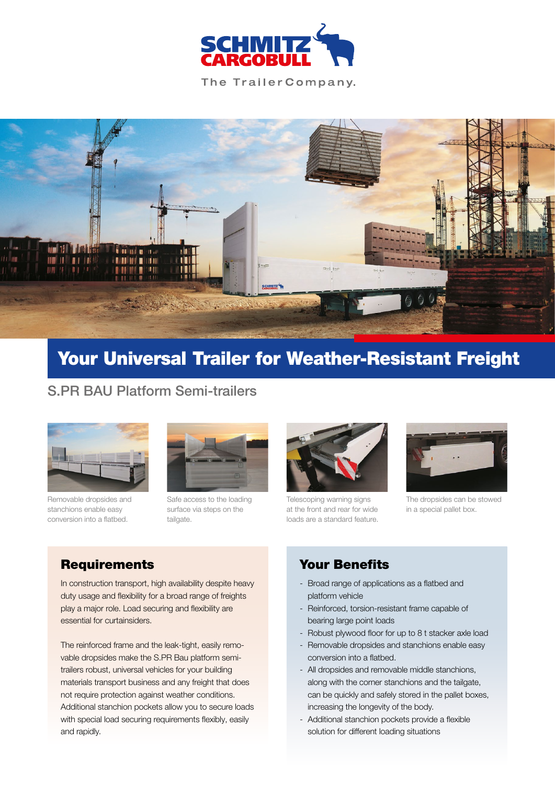

The Trailer Company.



# Your Universal Trailer for Weather-Resistant Freight

# S.PR BAU Platform Semi-trailers



Removable dropsides and stanchions enable easy conversion into a flatbed.



Safe access to the loading surface via steps on the tailgate.



Telescoping warning signs at the front and rear for wide loads are a standard feature.



The dropsides can be stowed in a special pallet box.

# **Requirements**

In construction transport, high availability despite heavy duty usage and flexibility for a broad range of freights play a major role. Load securing and flexibility are essential for curtainsiders.

The reinforced frame and the leak-tight, easily removable dropsides make the S.PR Bau platform semitrailers robust, universal vehicles for your building materials transport business and any freight that does not require protection against weather conditions. Additional stanchion pockets allow you to secure loads with special load securing requirements flexibly, easily and rapidly.

### Your Benefits

- Broad range of applications as a flatbed and platform vehicle
- Reinforced, torsion-resistant frame capable of bearing large point loads
- Robust plywood floor for up to 8 t stacker axle load
- Removable dropsides and stanchions enable easy conversion into a flatbed.
- All dropsides and removable middle stanchions, along with the corner stanchions and the tailgate, can be quickly and safely stored in the pallet boxes, increasing the longevity of the body.
- Additional stanchion pockets provide a flexible solution for different loading situations